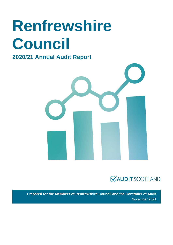# **Renfrewshire Council**

### **2020/21 Annual Audit Report**





**Prepared for the Members of Renfrewshire Council and the Controller of Audit** November 2021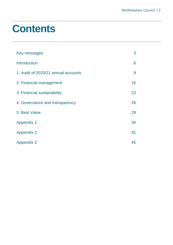### **Contents**

| Key messages                        | 3  |
|-------------------------------------|----|
| <b>Introduction</b>                 | 6  |
| 1. Audit of 2020/21 annual accounts | 9  |
| 2. Financial management             | 16 |
| 3. Financial sustainability         | 23 |
| 4. Governance and transparency      | 26 |
| 5. Best Value                       | 29 |
| <b>Appendix 1</b>                   | 34 |
| <b>Appendix 2</b>                   | 41 |
| <b>Appendix 3</b>                   | 45 |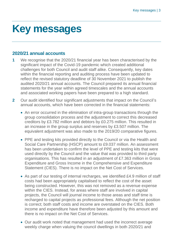### <span id="page-2-0"></span>**Key messages**

#### **2020/21 annual accounts**

- **1** We recognise that the 2020/21 financial year has been characterised by the significant impact of the Covid-19 pandemic which created additional challenges for both Council and audit staff alike. Consequently, key dates within the financial reporting and auditing process have been updated to reflect the revised statutory deadline of 30 November 2021 to publish the audited 2020/21 annual accounts. The Council prepared its annual financial statements for the year within agreed timescales and the annual accounts and associated working papers have been prepared to a high standard.
- **2** Our audit identified four significant adjustments that impact on the Council's annual accounts, which have been corrected in the financial statements:
	- An error occurred in the elimination of intra-group transactions through the group consolidation process and the adjustment to correct this decreased creditors by £3.782 million and debtors by £0.275 million. This resulted in an increase in the group surplus and reserves by £3.507 million. The equivalent adjustment was also made to the 2019/20 comparative figures.
	- PPE and testing kits provided directly to the Council or via the Health and Social Care Partnership (HSCP) amount to £9.037 million. An assessment has been undertaken to confirm the level of PPE and testing kits that were used directly by the Council and the value that was provided to third party organisations. This has resulted in an adjustment of £7.363 million in Gross Expenditure and Gross Income in the Comprehensive and Expenditure Statement (CIES). There is no impact on the Net Cost of Services.
	- As part of our testing of internal recharges, we identified £4.9 million of staff costs had been appropriately capitalised to reflect the cost of the asset being constructed. However, this was not removed as a revenue expense within the CIES. Instead, for areas where staff are involved in capital projects, the Council will journal income to those areas and staff time is recharged to capital projects as professional fees. Although the net position is correct; both staff costs and income are overstated on the CIES. Both income and expenditure have therefore been adjusted by this amount and there is no impact on the Net Cost of Services.
	- Our audit work noted that management had used the incorrect average weekly charge when valuing the council dwellings in both 2020/21 and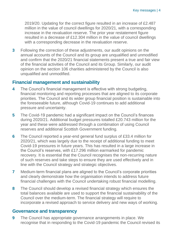2019/20. Updating for the correct figure resulted in an increase of £2.487 million in the value of council dwellings for 2020/21, with a corresponding increase in the revaluation reserve. The prior year restatement figure resulted in a decrease of £12.304 million in the value of council dwellings with a corresponding decrease in the revaluation reserve.

**3** Following the correction of these adjustments, our audit opinions on the annual accounts of the Council and its group are unqualified and unmodified and confirm that the 2020/21 financial statements present a true and fair view of the financial activities of the Council and its Group. Similarly, our audit opinion on the section 106 charities administered by the Council is also unqualified and unmodified.

#### **Financial management and sustainability**

- **4** The Council's financial management is effective with strong budgeting, financial monitoring and reporting processes that are aligned to its corporate priorities. The Council and its wider group financial position is sustainable into the foreseeable future, although Covid-19 continues to add additional pressure and uncertainty.
- **5** The Covid-19 pandemic had a significant impact on the Council's finances during 2020/21. Additional budget pressures totalled £20.743 million for the year and these were addressed through a combination of using Council reserves and additional Scottish Government funding.
- **6** The Council reported a year-end general fund surplus of £33.4 million for 2020/21, which was largely due to the receipt of additional funding to meet Covid-19 pressures in future years. This has resulted in a large increase in the Council's reserves, with £17.296 million earmarked for pandemic recovery. It is essential that the Council recognises the non-recurring nature of such reserves and take steps to ensure they are used effectively and in line with the Council strategy and strategic objectives.
- **7** Medium-term financial plans are aligned to the Council's corporate priorities and clearly demonstrate how the organisation intends to address future financial challenges with the Council undertaking robust financial modelling.
- **8** The Council should develop a revised financial strategy which ensures the total balances available are used to support the financial sustainability of the Council over the medium-term. The financial strategy will require to incorporate a revised approach to service delivery and new ways of working.

#### **Governance and transparency**

**9** The Council has appropriate governance arrangements in place. We recognise that in responding to the Covid-19 pandemic the Council revised its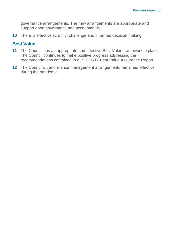governance arrangements. The new arrangements are appropriate and support good governance and accountability.

**10** There is effective scrutiny, challenge and informed decision making.

#### **Best Value**

- **11** The Council has an appropriate and effective Best Value framework in place. The Council continues to make positive progress addressing the recommendations contained in our 2016/17 Best Value Assurance Report.
- **12** The Council's performance management arrangements remained effective during the pandemic.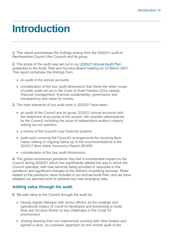### <span id="page-5-0"></span>**Introduction**

**1.** This report summarises the findings arising from the 2020/21 audit of Renfrewshire Council (the Council) and its group.

**2.** The scope of the audit was set out in our [2020/21 Annual Audit Plan](https://www.audit-scotland.gov.uk/uploads/docs/report/2021/aap_2021_renfrewshire.pdf) presented to the Audit, Risk and Scrutiny Board meeting on 22 March 2021. This report comprises the findings from:

- an audit of the annual accounts
- consideration of the four audit dimensions that frame the wider scope of public audit set out in the [Code of Audit Practice 2016](http://www.audit-scotland.gov.uk/report/code-of-audit-practice-2016) namely, financial management, financial sustainability, governance and transparency and value for money.
- **3.** The main elements of our audit work in 2020/21 have been:
	- an audit of the Council and its group 2020/21 annual accounts and the statement of accounts of the section 106 charities administered by the Council, including the issue of independent auditor's reports setting out our opinions
	- a review of the Council's key financial systems
	- audit work covering the Council's arrangements for securing Best Value relating to ongoing follow up of the recommendations in the 2016/17 Best Value Assurance Report (BVAR)
	- consideration of the four audit dimensions.

**4.** The global coronavirus pandemic has had a considerable impact on the Council during 2020/21 which has significantly altered the way in which the Council operates, with new services being provided in response to the pandemic and significant changes to the delivery of existing services. Risks related to the pandemic were included in our Annual Audit Plan, and we have adapted our planned work to address any new emerging risks.

#### **Adding value through the audit**

- **5.** We add value to the Council through the audit by:
	- having regular dialogue with senior officers as the strategic and operational impact of Covid-19 developed and presenting to Audit, Risk and Scrutiny Board on key challenges in the Covid-19 environment
	- sharing learning from our experiences working with other bodies and agreed a clear, no surprises, approach for the remote audit of the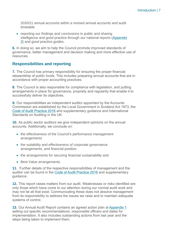2020/21 annual accounts within a revised annual accounts and audit timetable

• reporting our findings and conclusions in public and sharing intelligence and good practice through our national reports [\(Appendix](#page-44-0)  [3\)](#page-44-0) and good practice guides.

**6.** In doing so, we aim to help the Council promote improved standards of governance, better management and decision making and more effective use of resources.

#### **Responsibilities and reporting**

**7.** The Council has primary responsibility for ensuring the proper financial stewardship of public funds. This includes preparing annual accounts that are in accordance with proper accounting practices.

**8.** The Council is also responsible for compliance with legislation, and putting arrangements in place for governance, propriety and regularity that enable it to successfully deliver its objectives.

**9.** Our responsibilities as independent auditor appointed by the Accounts Commission are established by the Local Government in Scotland Act 1973, the [Code of Audit Practice 2016](http://www.audit-scotland.gov.uk/report/code-of-audit-practice-2016) and supplementary guidance and International Standards on Auditing in the UK.

**10.** As public sector auditors we give independent opinions on the annual accounts. Additionally, we conclude on:

- the effectiveness of the Council's performance management arrangements
- the suitability and effectiveness of corporate governance arrangements, and financial position
- the arrangements for securing financial sustainability and
- Best Value arrangements.

**11.** Further details of the respective responsibilities of management and the auditor can be found in the [Code of Audit Practice 2016](http://www.audit-scotland.gov.uk/report/code-of-audit-practice-2016) and supplementary guidance.

**12.** This report raises matters from our audit. Weaknesses or risks identified are only those which have come to our attention during our normal audit work and may not be all that exist. Communicating these does not absolve management from its responsibility to address the issues we raise and to maintain adequate systems of control.

**13.** Our Annual Audit Report contains an agreed action plan at [Appendix 1](#page-33-0) setting out specific recommendations, responsible officers and dates for implementation. It also includes outstanding actions from last year and the steps being taken to implement them.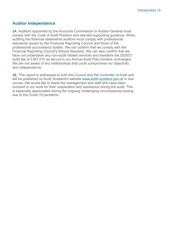#### **Auditor Independence**

**14.** Auditors appointed by the Accounts Commission or Auditor General must comply with the Code of Audit Practice and relevant supporting guidance. When auditing the financial statements auditors must comply with professional standards issued by the Financial Reporting Council and those of the professional accountancy bodies. We can confirm that we comply with the Financial Reporting Council's Ethical Standard. We can also confirm that we have not undertaken any non-audit related services and therefore the 2020/21 audit fee of £367,010 as set out in our Annual Audit Plan remains unchanged. We are not aware of any relationships that could compromise our objectivity and independence.

**15.** This report is addressed to both the Council and the Controller of Audit and will be published on Audit Scotland's website [www.audit-scotland.gov.uk](http://www.audit-scotland.gov.uk/) in due course. We would like to thank the management and staff who have been involved in our work for their cooperation and assistance during the audit. This is especially appreciated during the ongoing challenging circumstances arising due to the Covid-19 pandemic.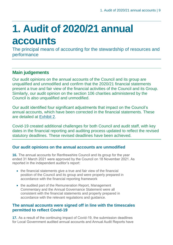## <span id="page-8-0"></span>**1. Audit of 2020/21 annual accounts**

The principal means of accounting for the stewardship of resources and performance

#### **Main judgements**

Our audit opinions on the annual accounts of the Council and its group are unqualified and unmodified and confirm that the 2020/21 financial statements present a true and fair view of the financial activities of the Council and its Group. Similarly, our audit opinion on the section 106 charities administered by the Council is also unqualified and unmodified.

Our audit identified four significant adjustments that impact on the Council's annual accounts, which have been corrected in the financial statements. These are detailed at [Exhibit 2.](#page-12-0)

Covid-19 created additional challenges for both Council and audit staff, with key dates in the financial reporting and auditing process updated to reflect the revised statutory deadlines. These revised deadlines have been achieved.

#### **Our audit opinions on the annual accounts are unmodified**

**16.** The annual accounts for Renfrewshire Council and its group for the year ended 31 March 2021 were approved by the Council on 18 November 2021. As reported in the independent auditor's report:

- the financial statements give a true and fair view of the financial position of the Council and its group and were properly prepared in accordance with the financial reporting framework
- the audited part of the Remuneration Report, Management Commentary and the Annual Governance Statement were all consistent with the financial statements and properly prepared in accordance with the relevant regulations and guidance.

#### **The annual accounts were signed off in line with the timescales permitted to reflect Covid-19**

**17.** As a result of the continuing impact of Covid-19, the submission deadlines for Local Government audited annual accounts and Annual Audit Reports have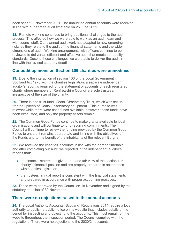been set at 30 November 2021. The unaudited annual accounts were received in line with our agreed audit timetable on 25 June 2021.

**18.** Remote working continues to bring additional challenges to the audit process. This affected how we were able to work as an audit team and with council staff. Our planned audit work has adapted to new emerging risks as they relate to the audit of the financial statements and the wider dimensions of audit. Working arrangements with officers continue to be reviewed to deliver an efficient and effective audit that meets our quality standards. Despite these challenges we were able to deliver the audit in line with the revised statutory deadline.

#### **Our audit opinions on Section 106 charities were unmodified**

**19.** Due to the interaction of section 106 of the Local Government in Scotland Act 1973 with the charities legislation, a separate independent auditor's report is required for the statement of accounts of each registered charity where members of Renfrewshire Council are sole trustees, irrespective of the size of the charity.

**20.** There is one trust fund, Coats' Observatory Trust, which was set up "for the upkeep of Coats Observatory equipment". This purpose was relevant while there were cash funds available; however, these funds have been exhausted, and only the property assets remain.

**21.** The Common Good Funds continue to make grants available to local organisations and will continue to fund recurring commitments. The Council will continue to review the funding provided by the Common Good Funds to ensure it remains appropriate and in line with the objectives of the Funds and to the benefit of the inhabitants of the relevant Burghs.

**22.** We received the charities' accounts in line with the agreed timetable and after completing our audit we reported in the independent auditor's reports that:

- the financial statements give a true and fair view of the section 106 charity's financial position and are properly prepared in accordance with charities legislation
- the trustees' annual report is consistent with the financial statements and prepared in accordance with proper accounting practices.

**23.** These were approved by the Council on 18 November and signed by the statutory deadline of 30 November.

#### **There were no objections raised to the annual accounts**

**24.** The Local Authority Accounts (Scotland) Regulations 2014 require a local authority to publish a public notice on its website that includes details of the period for inspecting and objecting to the accounts. This must remain on the website throughout the inspection period. The Council complied with the regulations. There were no objections to the 2020/21 accounts.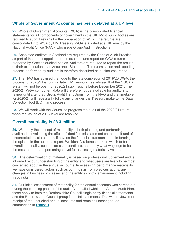#### **Whole of Government Accounts has been delayed at a UK level**

**25.** Whole of Government Accounts (WGA) is the consolidated financial statements for all components of government in the UK. Most public bodies are required to submit returns for the preparation of WGA. The returns are consolidated into WGA by HM Treasury. WGA is audited at a UK level by the National Audit Office (NAO), who issue Group Audit Instructions.

**26.** Appointed auditors in Scotland are required by the Code of Audit Practice, as part of their audit appointment, to examine and report on WGA returns prepared by Scottish audited bodies. Auditors are required to report the results of their examination in an Assurance Statement. The examination and reporting process performed by auditors is therefore described as auditor assurance.

**27.** The NAO has advised that, due to the late completion of 2019/20 WGA, the process for 2020/21 is running late. HM Treasury has advised that the OSCAR system will not be open for 2020/21 submissions before December 2021. The 2020/21 WGA component data will therefore not be available for auditors to review until after that. Group Audit Instructions from the NAO and the timetable for 2020/21 will necessarily follow any changes the Treasury make to the Data Collection Tool (DCT) and process.

**28.** We will work with the Council to progress the audit of the 2020/21 return when the issues at a UK level are resolved.

#### **Overall materiality is £8.3 million**

**29.** We apply the concept of materiality in both planning and performing the audit and in evaluating the effect of identified misstatement on the audit and of uncorrected misstatements, if any, on the financial statements and in forming the opinion in the auditor's report. We identify a benchmark on which to base overall materiality, such as gross expenditure, and apply what we judge to be the most appropriate percentage level for assessing materiality values.

**30.** The determination of materiality is based on professional judgement and is informed by our understanding of the entity and what users are likely to be most concerned about in the annual accounts. In assessing performance materiality, we have considered factors such as our findings from previous audits, any changes in business processes and the entity's control environment including fraud risks.

**31.** Our initial assessment of materiality for the annual accounts was carried out during the planning phase of the audit. As detailed within our Annual Audit Plan, these apply to both the Renfrewshire Council single entity financial statements and the Renfrewshire Council group financial statements. This was reviewed on receipt of the unaudited annual accounts and remains unchanged, as summarised in [Exhibit 1.](#page-11-0)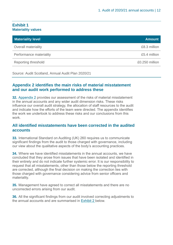#### <span id="page-11-0"></span>**Exhibit 1 Materiality values**

| <b>Materiality level</b> | <b>Amount</b>  |
|--------------------------|----------------|
| Overall materiality      | £8.3 million   |
| Performance materiality  | £5.4 million   |
| Reporting threshold      | £0.250 million |

Source: Audit Scotland, Annual Audit Plan 2020/21

#### **Appendix 2 identifies the main risks of material misstatement and our audit work performed to address these**

**32.** Appendix 2 [provides our assessment of the risks of material misstatement](#page-40-0)  [in the annual accounts and any wider audit dimension risks. These risks](#page-40-0)  [influence our overall audit strategy, the allocation of staff resources to the audit](#page-40-0)  [and indicate how the efforts of the team were directed. The appendix identifies](#page-40-0)  [the work we undertook to address these risks and our conclusions from this](#page-40-0)  [work.](#page-40-0) 

#### **All identified misstatements have been corrected in the audited accounts**

**33.** International Standard on Auditing (UK) 260 requires us to communicate significant findings from the audit to those charged with governance, including our view about the qualitative aspects of the body's accounting practices.

**34.** Where we have identified misstatements in the annual accounts, we have concluded that they arose from issues that have been isolated and identified in their entirety and do not indicate further systemic error. It is our responsibility to request that all misstatements, other than those below the reporting threshold are corrected, although the final decision on making the correction lies with those charged with governance considering advice from senior officers and materiality.

**35.** Management have agreed to correct all misstatements and there are no uncorrected errors arising from our audit.

**36.** All the significant findings from our audit involved correcting adjustments to the annual accounts and are summarised in [Exhibit 2](#page-12-0) below.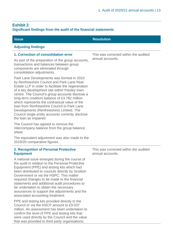#### <span id="page-12-0"></span>**Exhibit 2 Significant findings from the audit of the financial statements**

| <b>Issue</b>                                                                                                                                                                                                                                                                                                                                                                                                                                                                                                                 | <b>Resolution</b>                                         |
|------------------------------------------------------------------------------------------------------------------------------------------------------------------------------------------------------------------------------------------------------------------------------------------------------------------------------------------------------------------------------------------------------------------------------------------------------------------------------------------------------------------------------|-----------------------------------------------------------|
| <b>Adjusting findings</b>                                                                                                                                                                                                                                                                                                                                                                                                                                                                                                    |                                                           |
| 1. Correction of consolidation error                                                                                                                                                                                                                                                                                                                                                                                                                                                                                         | This was corrected within the audited                     |
| As part of the preparation of the group accounts,<br>transactions and balances between group<br>components are eliminated through<br>consolidation adjustments.                                                                                                                                                                                                                                                                                                                                                              | annual accounts.                                          |
| Park Lane Developments was formed in 2010<br>by Renfrewshire Council and Park Lane Real<br>Estate LLP in order to facilitate the regeneration<br>of a key development site within Paisley town<br>centre. The Council's group accounts disclose a<br>long-term creditors balance of £3.782 million<br>which represents the contractual value of the<br>Ioan from Renfrewshire Council to Park Lane<br>Developments (Renfrewshire) Limited. The<br>Council single entity accounts correctly disclose<br>the loan as impaired. |                                                           |
| The Council has agreed to remove the<br>intercompany balance from the group balance<br>sheet.                                                                                                                                                                                                                                                                                                                                                                                                                                |                                                           |
| The equivalent adjustment was also made to the<br>2019/20 comparative figures.                                                                                                                                                                                                                                                                                                                                                                                                                                               |                                                           |
| 2. Recognition of Personal Protective<br><b>Equipment</b>                                                                                                                                                                                                                                                                                                                                                                                                                                                                    | This was corrected within the audited<br>annual accounts. |
| A national issue emerged during the course of<br>the audit in relation to the Personal Protective<br>Equipment (PPE) and testing kits which had<br>been distributed to councils directly by Scottish<br>Government or via the HSPC. This matter<br>required changes to be made to the financial<br>statements and additional audit procedures to<br>be undertaken to obtain the necessary<br>assurances to support the adjustments and the<br>associated accounting treatment.                                               |                                                           |
| PPE and testing kits provided directly to the<br>Council or via the HSCP amount to £9,037<br>million. An assessment has been undertaken to<br>confirm the level of PPE and testing kits that<br>were used directly by the Council and the value<br>that was provided to third party organisations.                                                                                                                                                                                                                           |                                                           |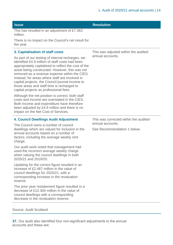| <b>Issue</b>                                                                                                                                                                                                                                                                                                                                                                                                                                                | <b>Resolution</b>                               |
|-------------------------------------------------------------------------------------------------------------------------------------------------------------------------------------------------------------------------------------------------------------------------------------------------------------------------------------------------------------------------------------------------------------------------------------------------------------|-------------------------------------------------|
| This has resulted in an adjustment of £7.363<br>million.                                                                                                                                                                                                                                                                                                                                                                                                    |                                                 |
| There is no impact on the Council's net result for<br>the year.                                                                                                                                                                                                                                                                                                                                                                                             |                                                 |
| 3. Capitalisation of staff costs                                                                                                                                                                                                                                                                                                                                                                                                                            | This was adjusted within the audited            |
| As part of our testing of internal recharges, we<br>identified £4.9 million of staff costs had been<br>appropriately capitalised to reflect the cost of the<br>asset being constructed. However, this was not<br>removed as a revenue expense within the CIES.<br>Instead, for areas where staff are involved in<br>capital projects, the Council journal income to<br>those areas and staff time is recharged to<br>capital projects as professional fees. | annual accounts.                                |
| Although the net position is correct, both staff<br>costs and income are overstated in the CIES.<br>Both income and expenditure have therefore<br>been adjusted by £4.9 million and there is no<br>impact on the Net Cost of Services.                                                                                                                                                                                                                      |                                                 |
| <b>4. Council Dwellings Audit Adjustment</b>                                                                                                                                                                                                                                                                                                                                                                                                                | This was corrected within the audited           |
| The Council owns a number of council<br>dwellings which are valued for inclusion in the<br>annual accounts based on a number of<br>factors, including the average weekly rent<br>charge.                                                                                                                                                                                                                                                                    | annual accounts.<br>See Recommendation 1 below. |
| Our audit work noted that management had<br>used the incorrect average weekly charge<br>when valuing the council dwellings in both<br>2020/21 and 2019/20.                                                                                                                                                                                                                                                                                                  |                                                 |
| Updating for the correct figure resulted in an<br>increase of £2.487 million in the value of<br>council dwellings for 2020/21, with a<br>corresponding increase in the revaluation<br>reserve.                                                                                                                                                                                                                                                              |                                                 |
| The prior year restatement figure resulted in a<br>decrease of £12.304 million in the value of<br>council dwellings with a corresponding<br>decrease in the revaluation reserve.                                                                                                                                                                                                                                                                            |                                                 |

#### Source: Audit Scotland

**37.** Our audit also identified four non-significant adjustments to the annual accounts and these are: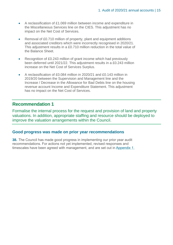- A reclassification of £1.069 million between income and expenditure in the Miscellaneous Services line on the CIES. This adjustment has no impact on the Net Cost of Services.
- Removal of £0.710 million of property, plant and equipment additions and associated creditors which were incorrectly recognised in 2020/21. This adjustment results in a £0.710 million reduction in the total value of the Balance Sheet.
- Recognition of £0.243 million of grant income which had previously been deferred until 2021/22. This adjustment results in a £0.243 million increase on the Net Cost of Services Surplus.
- A reclassification of £0.084 million in 2020/21 and £0.143 million in 2019/20 between the Supervision and Management line and the Increase / Decrease in the Allowance for Bad Debts line on the housing revenue account Income and Expenditure Statement. This adjustment has no impact on the Net Cost of Services.

#### **Recommendation 1**

Formalise the internal process for the request and provision of land and property valuations. In addition, appropriate staffing and resource should be deployed to improve the valuation arrangements within the Council.

#### **Good progress was made on prior year recommendations**

**38.** The Council has made good progress in implementing our prior year audit recommendations. For actions not yet implemented, revised responses and timescales have been agreed with management, and are set out in [Appendix 1.](#page-33-0)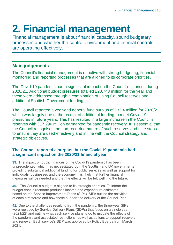## <span id="page-15-0"></span>**2. Financial management**

Financial management is about financial capacity, sound budgetary processes and whether the control environment and internal controls are operating effectively.

#### **Main judgements**

The Council's financial management is effective with strong budgeting, financial monitoring and reporting processes that are aligned to its corporate priorities.

The Covid-19 pandemic had a significant impact on the Council's finances during 2020/21. Additional budget pressures totalled £20.743 million for the year and these were addressed through a combination of using Council reserves and additional Scottish Government funding.

The Council reported a year-end general fund surplus of £33.4 million for 2020/21, which was largely due to the receipt of additional funding to meet Covid-19 pressures in future years. This has resulted in a large increase in the Council's reserves with £17.296 million earmarked for pandemic recovery. It is essential that the Council recognises the non-recurring nature of such reserves and take steps to ensure they are used effectively and in line with the Council strategy and strategic objectives.

#### **The Council reported a surplus, but the Covid-19 pandemic had a significant impact on the 2020/21 financial year**

**39.** The impact on public finances of the Covid-19 pandemic has been unprecedented, which has necessitated both the Scottish and UK governments providing substantial additional funding for public services as well as support for individuals, businesses and the economy. It is likely that further financial measures will be needed and that the effects will be felt well into the future.

**40.** The Council's budget is aligned to its strategic priorities. To inform the budget each directorate produces income and expenditure estimates based on the Service Improvement Plans (SIPs). SIPs outline the activities of each directorate and how these support the delivery of the Council Plan.

**41.** Due to the challenges resulting from the pandemic, the three-year SIPs were replaced by Service Delivery Plans (SDPs) that focus on a single year (2021/22) and outline what each service plans to do to mitigate the effects of the pandemic and associated restrictions, as well as actions to support recovery and renewal. Each service's SDP was approved by Policy Boards from March 2021.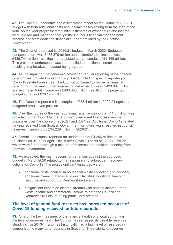**42.** The Covid-19 pandemic had a significant impact on the Council's 2020/21 budget with both additional costs and income losses arising from the start of the year. As the year progressed the initial estimates of expenditure and income were revised and managed through the Council's financial management process and from additional financial support provided by the Scottish Government.

**43.** The Council approved its 2020/21 budget in March 2020. Budgeted net expenditure was £433.379 million and estimated total income was £435.744 million, resulting in a projected budget surplus of £2.365 million. This projected underspend was then applied to additional commitments resulting in a breakeven budget being agreed.

**44.** As the impact of the pandemic developed regular reporting of the financial position was provided to each Policy Board, including specific reporting of Covid-19 related pressures. The Council continued to revise its financial position with the final budget forecasting net expenditure of £433.887 million and estimated total income was £463.035 million, resulting in a projected budget surplus of £29.148 million.

**45.** The Council reported a final surplus of £33.4 million in 2020/21 against a budgeted break even position.

**46.** Over the course of the year additional revenue support of £41.5 million was provided to the Council by the Scottish Government to address service pressures over the course of 2020/21 and 2021/22. Additional Covid-19 related funding received from Scottish Government for future years resulted in council reserves increasing by £34.229 million in 2020/21.

**47.** Overall, the council reported an underspend of £4.256 million on its "business as usual" budget. This is after Covid-19 costs of £20.743 million, which were funded through a mixture of reserves and additional funding from Scottish Government.

**48.** As expected, the main reasons for variances against the approved budget in March 2020 related to the response and subsequent recovery actions for Covid-19. The most significant variances were:

- additional costs incurred in household waste collection and disposal, additional cleaning across all council facilities, additional teaching resource and support to Renfrewshire Leisure
- a significant impact on income streams with parking income, trade waste income and commercial income to both the Council and Renfrewshire Leisure being particularly affected.

#### **The level of general fund reserves has increased because of Covid-19 funding received for future periods**

**49.** One of the key measures of the financial health of a local authority is the level of reserves held. The Council has increased its useable reserves steadily since 2013/14 and has historically had a high level of reserves in comparison to many other councils in Scotland. The majority of reserves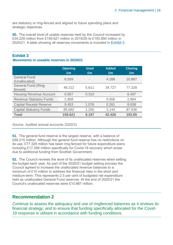are statutory or ring-fenced and aligned to future spending plans and strategic objectives.

**50.** The overall level of usable reserves held by the Council increased by £34.229 million from £159.621 million in 2019/20 to £193.850 million in 2020/21. A table showing all reserves movements is included in [Exhibit 3.](#page-17-0)

#### <span id="page-17-0"></span>**Exhibit 3 Movements in useable reserves in 2020/21**

|                                       | <b>Opening</b><br>Em | <b>Used</b><br>Em        | <b>Added</b><br>Em | <b>Closing</b><br>Em |
|---------------------------------------|----------------------|--------------------------|--------------------|----------------------|
| <b>General Fund</b><br>(Unallocated)  | 6.559                | $\overline{\phantom{a}}$ | 4.288              | 10.887               |
| <b>General Fund (Ring-</b><br>fenced) | 48.212               | 5.611                    | 34.727             | 77.328               |
| <b>Housing Revenue Account</b>        | 6.807                | 0.310                    | ۰                  | 6.497                |
| <b>Revenue Statutory Funds</b>        | 2.858                | $\overline{\phantom{a}}$ | 0.006              | 2.864                |
| <b>Capital Receipt Reserve</b>        | 9.453                | 1.076                    | 0.261              | 8.638                |
| <b>Capital Statutory Funds</b>        | 85.692               | 1.200                    | 3.144              | 87.636               |
| <b>Total</b>                          | 159.621              | 8.197                    | 42.426             | 193.85               |

Source: Audited annual accounts 2020/21

**51.** The general fund reserve is the largest reserve, with a balance of £88.215 million. Although the general fund reserve has no restrictions on its use, £77.328 million has been ring-fenced for future expenditure plans including £17.296 million specifically for Covid-19 recovery which arose due to additional funding from Scottish Government.

**52.** The Council reviews the level of its unallocated reserves when setting the budget each year. As part of the 2020/21 budget setting process the Council agreed to increase the unallocated revenue balances to a minimum of £10 million to address the financial risks in the short and medium-term. This represents 2.5 per cent of budgeted net expenditure held as unallocated General Fund reserves. At the end of 2020/21 the Council's unallocated reserves were £10.887 million.

#### **Recommendation 2**

Continue to assess the adequacy and use of ringfenced balances as it reviews its financial strategy; and to ensure that funding specifically allocated for the Covid-19 response is utilised in accordance with funding conditions.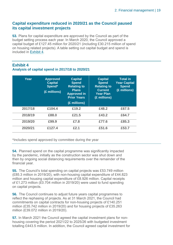#### **Capital expenditure reduced in 2020/21 as the Council paused its capital investment projects**

**53.** Plans for capital expenditure are approved by the Council as part of the budget setting process each year. In March 2020, the Council approved a capital budget of £127.45 million for 2020/21 (including £30.215 million of spend on housing related projects). A table setting out capital budget and spend is included in Exhibit 4.

### **Exhibit 4**

| Analysis of capital spend in 2017/18 to 2020/21 |  |  |  |  |  |  |  |  |
|-------------------------------------------------|--|--|--|--|--|--|--|--|
|-------------------------------------------------|--|--|--|--|--|--|--|--|

| Year    | <b>Approved</b><br><b>Capital</b><br>Spend*<br>(£ millions) | <b>Capital</b><br><b>Spend</b><br><b>Relating to</b><br><b>Plans</b><br><b>Approved in</b><br><b>Prior Years</b><br>(£ millions) | <b>Capital</b><br><b>Spend</b><br><b>Relating to</b><br><b>Current</b><br><b>Year Plan</b><br>(£ millions) | <b>Total in</b><br><b>Year Capital</b><br><b>Spend</b><br>(£ millions) |
|---------|-------------------------------------------------------------|----------------------------------------------------------------------------------------------------------------------------------|------------------------------------------------------------------------------------------------------------|------------------------------------------------------------------------|
| 2017/18 | £104.4                                                      | £19.2                                                                                                                            | £48.2                                                                                                      | £67.5                                                                  |
| 2018/19 | £88.0                                                       | £21.5                                                                                                                            | £43.2                                                                                                      | £64.7                                                                  |
| 2019/20 | £99.9                                                       | £7.8                                                                                                                             | £77.6                                                                                                      | £85.3                                                                  |
| 2020/21 | £127.4                                                      | £2.1                                                                                                                             | £51.6                                                                                                      | £53.7                                                                  |

\*Includes spend approved by committee during the year

**54.** Planned spend on the capital programme was significantly impacted by the pandemic, initially as the construction sector was shut down and then by ongoing social distancing requirements over the remainder of the financial year.

**55.** The Council's total spending on capital projects was £53.749 million (£85.3 million in 2019/20), with non-housing capital expenditure of £44.823 million and housing capital expenditure of £8.926 million. Capital receipts of £1.273 million (£0.704 million in 2019/20) were used to fund spending on capital projects.

**56.** The Council continues to adjust future years capital programmes to reflect the rephasing of projects. As at 31 March 2021, the Council had commitments on capital contracts for non-housing projects of £140.251 million (£35.742 million in 2019/20) and for housing projects of £35.263 million (£39.072 million in 2019/20).

**57.** In March 2021 the Council agreed the capital investment plans for nonhousing covering the period 2021/22 to 2025/26 with budgeted investment totalling £443.5 million. In addition, the Council agreed capital investment for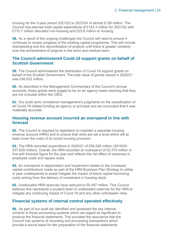housing for the 3-year period 2021/22 to 2023/24 of almost £126 million. The Council has planned total capital expenditure of £142.3 million for 2021/22 with £115.7 million allocated non-housing and £25.6 million to housing.

**58.** As a result of the ongoing challenges the Council will need to ensure it continues to review progress of the existing capital programme. This will include rescheduling and the reprioritisation of projects until there is greater certainty over the achievement of projects in the short and medium-term.

#### **The Council administered Covid-19 support grants on behalf of Scottish Government**

**59.** The Council administered the distribution of Covid-19 support grants on behalf of the Scottish Government. The total value of grants issued in 2020/21 was £46.632 million.

**60.** As described in the Management Commentary of the Council's annual accounts, these grants were judged to be on an agency basis meaning that they are not included within the CIES.

**61.** Our audit work considered management's judgments on the classification of all Covid-19 related funding as agency or principal and we concluded that it was materially accurate.

#### **Housing revenue account incurred an overspend in line with forecast**

**62.** The Council is required by legislation to maintain a separate housing revenue account (HRA) and to ensure that rents are set a level which will at least cover the costs of its social housing provision.

**63.** The HRA recorded expenditure in 2020/21 of £56.526 million (2019/20: £57.635 million). Overall, the HRA recorded an overspend of £0.310 million in line with forecast figure for the year and reflects the net effect of variances in employee costs and repairs costs.

**64.** An overspend in depreciation and impairment relates to the increased capital contributions made as part of the HRA Business Plan Strategy to utilise in year underspends to assist mitigate the impact of future capital borrowing costs arising from the delivery of investment in housing stock.

**65.** Unallocated HRA reserves have reduced to £6.497 million. This Council believes this represents a prudent level of unallocated reserves for the HRA to mitigate any continuing impact of Covid-19 and any other unforeseen risks.

#### **Financial systems of internal control operated effectively**

**66.** As part of our audit we identified and assessed the key internal controls in those accounting systems which we regard as significant to produce the financial statements. This provided the assurance that the Council has systems of recording and processing transactions which provide a sound basis for the preparation of the financial statements.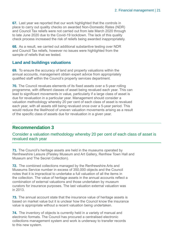**67.** Last year we reported that our work highlighted that the controls in place to carry out quality checks on awarded Non-Domestic Rates (NDR) and Council Tax reliefs were not carried out from late March 2020 through to late June 2020 due to the Covid-19 lockdown. The lack of this quality check process increased the risk of reliefs being awarded inappropriately.

**68.** As a result, we carried out additional substantive testing over NDR and Council Tax reliefs, however no issues were highlighted from the sample of reliefs that we tested.

#### **Land and buildings valuations**

**69.** To ensure the accuracy of land and property valuations within the annual accounts, management obtain expert advice from appropriately qualified staff within the Council's property services department.

**70.** The Council revalues elements of its fixed assets over a 5-year rolling programme, with different classes of asset being revalued each year. This can lead to significant movements in value, particularly if a large class of asset is due for revaluation in a particular year. Management should consider a valuation methodology whereby 20 per cent of each class of asset is revalued each year, with all assets still being revalued once over a 5-year period. This would reduce the likelihood of uneven valuation movements arising as a result of the specific class of assets due for revaluation in a given year.

#### **Recommendation 3**

Consider a valuation methodology whereby 20 per cent of each class of asset is revalued each year

**71.** The Council's heritage assets are held in the museums operated by Renfrewshire Leisure (Paisley Museum and Art Gallery, Renfrew Town Hall and Museum and The Secret Collection).

**72.** The combined collections managed by the Renfrewshire Arts and Museums Service number in excess of 350,000 objects and the Council notes that it is impractical to undertake a full valuation of all the items in the collection. The value of heritage assets in the annual accounts reflect a combination of external valuations and those undertaken by museum curators for insurance purposes. The last valuation external valuation was in 2013.

**73.** The annual account state that the insurance value of heritage assets is based on market value but it is unclear how the Council know the insurance value is appropriate without a recent valuation being undertaken.

**74.** The inventory of objects is currently held in a variety of manual and electronic formats. The Council has procured a centralised electronic collections management system and work is underway to transfer records to this new system.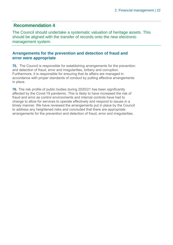#### **Recommendation 4**

The Council should undertake a systematic valuation of heritage assets. This should be aligned with the transfer of records onto the new electronic management system.

#### **Arrangements for the prevention and detection of fraud and error were appropriate**

**75.** The Council is responsible for establishing arrangements for the prevention and detection of fraud, error and irregularities, bribery and corruption. Furthermore, it is responsible for ensuring that its affairs are managed in accordance with proper standards of conduct by putting effective arrangements in place.

**76.** The risk profile of public bodies during 2020/21 has been significantly affected by the Covid-19 pandemic. This is likely to have increased the risk of fraud and error as control environments and internal controls have had to change to allow for services to operate effectively and respond to issues in a timely manner. We have reviewed the arrangements put in place by the Council to address any heightened risks and concluded that there are appropriate arrangements for the prevention and detection of fraud, error and irregularities.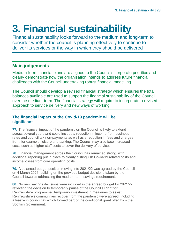## <span id="page-22-0"></span>**3. Financial sustainability**

Financial sustainability looks forward to the medium and long-term to consider whether the council is planning effectively to continue to deliver its services or the way in which they should be delivered

#### **Main judgements**

Medium-term financial plans are aligned to the Council's corporate priorities and clearly demonstrate how the organisation intends to address future financial challenges with the Council undertaking robust financial modelling.

The Council should develop a revised financial strategy which ensures the total balances available are used to support the financial sustainability of the Council over the medium-term. The financial strategy will require to incorporate a revised approach to service delivery and new ways of working.

#### **The financial impact of the Covid-19 pandemic will be significant**

**77.** The financial impact of the pandemic on the Council is likely to extend across several years and could include a reduction in income from business rates and council tax non-payments as well as a reduction in fees and charges from, for example, leisure and parking. The Council may also face increased costs such as higher staff costs to cover the delivery of services.

**78.** Financial management across the Council has remained strong, with additional reporting put in place to clearly distinguish Covid-19 related costs and income losses from core operating costs.

**79.** A balanced budget position moving into 2021/22 was agreed by the Council on 4 March 2021, building on the previous budget decisions taken by the Council towards addressing the medium-term savings requirement.

**80.** No new savings decisions were included in the agreed budget for 2021/22, reflecting the decision to temporarily pause of the Council's Right for Renfrewshire programme. Temporary investment in measures to assist Renfrewshire's communities recover from the pandemic were agreed, including a freeze in council tax which formed part of the conditional grant offer from the Scottish Government.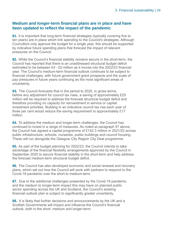#### **Medium and longer-term financial plans are in place and have been updated to reflect the impact of the pandemic**

**81.** It is important that long-term financial strategies (typically covering five to ten years) are in place which link spending to the Council's strategies. Although Councillors only approve the budget for a single year, this should be supported by indicative future spending plans that forecast the impact of relevant pressures on the Council.

**82.** While the Council's financial stability remains secure in the short-term, the Council has reported that there is an unaddressed structural budget deficit estimated to be between £4 - £5 million as it moves into the 2022/23 financial year. The Council's medium-term financial outlook continues to be subject to financial challenges, with future government grant prospects and the scale of pay pressures in future years continuing as the most significant areas of uncertainty.

**83.** The Council forecasts that in the period to 2025, in gross terms, before any adjustment for council tax rises, a saving of approximately £25 million will be required to address the forecast structural budget deficit and therefore providing no capacity for reinvestment in service or capital investment priorities. Building in an indicative council tax rise each year of three per cent would reduce the saving requirement to approximately £17 million.

**84.** To address the medium and longer-term challenges, the Council has continued to invest in a range of measures. As noted at paragraph 57 above, the Council has agreed a capital programme of £142.3 million in 2021/22 across public infrastructure, schools, nurseries, public buildings and council housing. These will run alongside the Glasgow City Region City Deal programme.

**85.** As part of the budget planning for 2022/23, the Council intends to take advantage of the financial flexibility arrangements approved by the Council in September 2020 to secure financial stability in the short-term and help address the forecast medium-term structural budget deficit.

**86.** The Council has also developed economic and social renewal and recovery plans, which set out how the Council will work with partners to respond to the Covid-19 pandemic over the short to medium-term.

**87.** Due to the additional challenges presented by the Covid-19 pandemic and the medium to longer-term impact this may have on planned public sector spending across the UK and Scotland, the Council's existing financial outlook plan is subject to significantly greater uncertainty.

**88.** It is likely that further decisions and announcements by the UK and a Scottish Governments will impact and influence the Council's financial outlook, both in the short, medium and longer-term.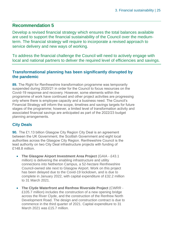#### **Recommendation 5**

Develop a revised financial strategy which ensures the total balances available are used to support the financial sustainability of the Council over the mediumterm. The financial strategy will require to incorporate a revised approach to service delivery and new ways of working.

To address the financial challenge the Council will need to actively engage with local and national partners to deliver the required level of efficiencies and savings.

#### **Transformational planning has been significantly disrupted by the pandemic**

**89.** The Right for Renfrewshire transformation programme was temporarily suspended during 2020/21 in order for the Council to focus resources on the Covid-19 response and recovery. However, some elements within the programme of work have continued and other project activities are progressing only where there is employee capacity and a business need. The Council's Financial Strategy will inform the scope, timelines and savings targets for future stages of the programme; however, a limited level of transformation activity and associated financial savings are anticipated as part of the 2022/23 budget planning arrangements.

#### **City Deals**

**90.** The £1.13 billion Glasgow City Region City Deal is an agreement between the UK Government, the Scottish Government and eight local authorities across the Glasgow City Region. Renfrewshire Council is the lead authority on two City Deal infrastructure projects with funding of £148.8 million.

- **The Glasgow Airport Investment Area Project** (GAIA £43.1 million) is delivering the enabling infrastructure and utility connections into Netherton Campus, a 52-hectare Renfrewshire Council-owned site next to Glasgow Airport. Work on this project has been delayed due to the Covid-19 lockdown, and is due to complete in January 2022, with capital expenditure of £32.2 million to 31 March 2021.
- **The Clyde Waterfront and Renfrew Riverside Project** (CWRR £105.7 million) includes the construction of a new opening bridge across the River Clyde, and the construction of the Renfrew North Development Road. The design and construction contract is due to commence in the third quarter of 2021. Capital expenditure to 31 March 2021 was £15.7 million.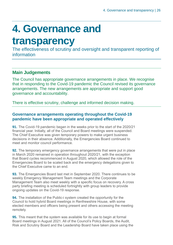## <span id="page-25-0"></span>**4. Governance and**

### **transparency**

The effectiveness of scrutiny and oversight and transparent reporting of information

#### **Main Judgements**

The Council has appropriate governance arrangements in place. We recognise that in responding to the Covid-19 pandemic the Council revised its governance arrangements. The new arrangements are appropriate and support good governance and accountability.

There is effective scrutiny, challenge and informed decision making.

#### **Governance arrangements operating throughout the Covid-19 pandemic have been appropriate and operated effectively**

**91.** The Covid-19 pandemic began in the weeks prior to the start of the 2020/21 financial year. Initially, all of the Council and Board meetings were suspended. The Chief Executive was given temporary powers to make urgent business decisions in their absence. Additionally, the Emergencies Board continued to meet and monitor council performance.

**92.** The temporary emergency governance arrangements that were put in place in March 2020 remained in operation throughout 2020/21, with the exception that Board cycles recommenced in August 2020, which allowed the role of the Emergencies Board to be scaled back and the emergency delegations given to the Chief Executive came to an end.

**93.** The Emergencies Board last met in September 2020. There continues to be weekly Emergency Management Team meetings and the Corporate Management Team also meet weekly with a specific focus on recovery. A cross party briefing meeting is scheduled fortnightly with group leaders to provide ongoing updates on the Covid-19 response.

**94.** The installation of the Public-i system created the opportunity for the Council to hold hybrid Board meetings in Renfrewshire House, with some elected members and officers being present and others accessing the meeting remotely.

**95.** This meant that the system was available for its use to begin at formal Board meetings in August 2021. All of the Council's Policy Boards, the Audit, Risk and Scrutiny Board and the Leadership Board have taken place using the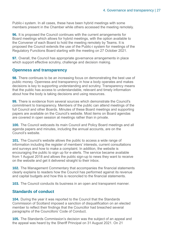Public-i system. In all cases, these have been hybrid meetings with some members present in the Chamber while others accessed the meeting remotely.

**96.** It is proposed the Council continues with the current arrangements for Board meetings which allows for hybrid meetings, with the option available to the Convener of each Board to hold the meeting remotely by Teams. It is proposed the Council extends the use of the Public-i system for meetings of the Regulatory Functions Board starting with the meeting on 27 October 2021.

**97.** Overall, the Council has appropriate governance arrangements in place which support effective scrutiny, challenge and decision making.

#### **Openness and transparency**

**98.** There continues to be an increasing focus on demonstrating the best use of public money. Openness and transparency in how a body operates and makes decisions is key to supporting understanding and scrutiny. Transparency means that the public has access to understandable, relevant and timely information about how the body is taking decisions and using resources.

**99.** There is evidence from several sources which demonstrate the Council's commitment to transparency. Members of the public can attend meetings of the full Council and other Boards. Minutes of these Board meetings and supporting papers are available on the Council's website. Most items on Board agendas are covered in open session at meetings rather than in private.

**100.** The Council webcasts its main Council and Policy Board meetings and all agenda papers and minutes, including the annual accounts, are on the Council's website.

**101.** The Council's website allows the public to access a wide range of information including the register of members' interests, current consultations and surveys and how to make a complaint. In addition, the website is encouraging the public to sign up for e-alerts. The service became available from 1 August 2018 and allows the public sign-up to news they want to receive on the website and get it delivered straight to their inbox.

**102.** The Management Commentary that accompanies the financial statements clearly explains to readers how the Council has performed against its revenue and capital budgets and how this is reconciled to the financial statements.

**103.** The Council conducts its business in an open and transparent manner.

#### **Standards of conduct**

**104.** During the year it was reported to the Council that the Standards Commission of Scotland imposed a sanction of disqualification on an elected member to reflect their findings that the Councillor had breached several paragraphs of the Councillors' Code of Conduct.

**105.** The Standards Commission's decision was the subject of an appeal and the appeal was heard by the Sheriff Principal on 31 August 2021. On 21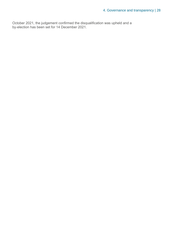October 2021, the judgement confirmed the disqualification was upheld and a by-election has been set for 14 December 2021.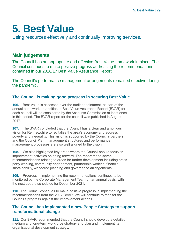### <span id="page-28-0"></span>**5. Best Value**

Using resources effectively and continually improving services.

#### **Main judgements**

The Council has an appropriate and effective Best Value framework in place. The Council continues to make positive progress addressing the recommendations contained in our 2016/17 Best Value Assurance Report.

The Council's performance management arrangements remained effective during the pandemic.

#### **The Council is making good progress in securing Best Value**

**106.** Best Value is assessed over the audit appointment, as part of the annual audit work. In addition, a Best Value Assurance Report (BVAR) for each council will be considered by the Accounts Commission at least once in this period. The BVAR report for the council was published in August 2017.

**107.** The BVAR concluded that the Council has a clear and ambitious vision for Renfrewshire to revitalise the area's economy and address poverty and inequality. This vision is supported by the Council's partners and the Council Plan; management structures and performance management processes are also well aligned to the vision.

**108.** We also highlighted key areas where the Council should focus its improvement activities on going forward. The report made seven recommendations relating to areas for further development including cross party working, community engagement, partnership working, financial sustainability, workforce planning and governance arrangements.

**109.** Progress in implementing the recommendations continues to be monitored by the Corporate Management Team on an annual basis, with the next update scheduled for December 2021.

**110.** The Council continues to make positive progress in implementing the recommendations from the 2017 BVAR. We will continue to monitor the Council's progress against the improvement actions.

#### **The Council has implemented a new People Strategy to support transformational change**

**111.** Our BVAR recommended that the Council should develop a detailed medium and long-term workforce strategy and plan and implement its organisational development strategy.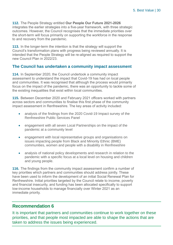**112.** The People Strategy entitled **Our People Our Future 2021-2026** integrates the earlier strategies into a five-year framework, with three strategic outcomes. However, the Council recognises that the immediate priorities over the short-term will focus primarily on supporting the workforce in the response to and recovery from the pandemic.

**113.** In the longer-term the intention is that the strategy will support the Council's transformation plans with progress being reviewed annually. It is intended that the People Strategy will be re-aligned as required to support the new Council Plan in 2022/23.

#### **The Council has undertaken a community impact assessment**

**114.** In September 2020, the Council undertook a community impact assessment to understand the impact that Covid-19 has had on local people and communities. It was recognised that although the process would primarily focus on the impact of the pandemic, there was an opportunity to tackle some of the existing inequalities that exist within local communities.

**115.** Between December 2020 and February 2021 officers worked with partners across sectors and communities to finalise this first phase of the community impact assessment in Renfrewshire. The key areas of activity included:

- analysis of the findings from the 2020 Covid-19 Impact survey of the Renfrewshire Public Services Panel
- engagement with all seven Local Partnerships on the impact of the pandemic at a community level
- engagement with local representative groups and organisations on issues impacting people from Black and Minority Ethnic (BME) communities, women and people with a disability in Renfrewshire
- analysis of national policy developments and research in relation to the pandemic with a specific focus at a local level on housing and children and young people.

**116.** The findings from the community impact assessment confirm a number of key priorities which partners and communities should address jointly. These have been used to inform the development of an initial Social Renewal Plan for Renfrewshire. Initial priorities targeted by the Council relate to income, poverty and financial insecurity, and funding has been allocated specifically to support low-income households to manage financially over Winter 2021 as an immediate priority.

#### **Recommendation 6**

It is important that partners and communities continue to work together on these priorities, and that people most impacted are able to shape the actions that are taken to address the issues being experienced.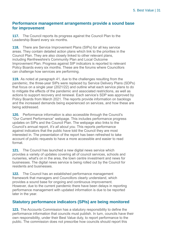#### **Performance management arrangements provide a sound base for improvement**

**117.** The Council reports its progress against the Council Plan to the Leadership Board every six months.

**118.** There are Service Improvement Plans (SIPs) for all key service areas. They contain detailed action plans which link to the priorities in the Council Plan. They are also closely linked to other relevant plans, including Renfrewshire's Community Plan and Local Outcome Improvement Plan. Progress against SIP indicators is reported to relevant Policy Boards every six months. These are the forums where Councillors can challenge how services are performing.

**119.** As noted at paragraph 41, due to the challenges resulting from the pandemic, the three-year SIPs were replaced by Service Delivery Plans (SDPs) that focus on a single year (2021/22) and outline what each service plans to do to mitigate the effects of the pandemic and associated restrictions, as well as actions to support recovery and renewal. Each service's SDP was approved by Policy Boards from March 2021. The reports provide information on backlogs and the increased demands being experienced on services, and how these are being addressed.

**120.** Performance information is also accessible through the Council's ["Our Current](http://www.renfrewshire.gov.uk/article/8785/Our-current-performance) [Performance" w](http://www.renfrewshire.gov.uk/article/8785/Our-current-performance)ebpage. This includes performance progress updates on SIPs and the Council Plan. The webpage also links to the Council's annual report, *It's all about you*. This reports performance against indicators that the public have told the Council they are most interested in. The presentation of the report has been refreshed to take account of public requests to have a more accessible and easier to read format.

**121.** The Council has launched a new digital news service which provides a variety of updates covering all of council services, schools and nurseries, what's on in the area, the town centre investment and news for businesses. The digital news service is being rolled out by the Council for residents and businesses.

**122.** The Council has an established performance management framework that managers and Councillors clearly understand, which provides a sound base for ongoing and continuous improvement. However, due to the current pandemic there have been delays in reporting performance management with updated information is due to be reported later in the year.

#### **Statutory performance indicators (SPIs) are being monitored**

**123.** The Accounts Commission has a statutory responsibility to define the performance information that councils must publish. In turn, councils have their own responsibility, under their Best Value duty, to report performance to the public. The commission does not prescribe how councils should report this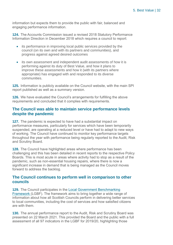information but expects them to provide the public with fair, balanced and engaging performance information.

**124.** The Accounts Commission issued a revised 2018 Statutory Performance Information Direction in December 2018 which requires a council to report:

- its performance in improving local public services provided by the council (on its own and with its partners and communities), and progress against agreed desired outcomes
- its own assessment and independent audit assessments of how it is performing against its duty of Best Value, and how it plans to improve these assessments and how it (with its partners where appropriate) has engaged with and responded to its diverse communities.

**125.** Information is publicly available on the Council website, with the main SPI report published as well as a summary version.

**126.** We have evaluated the Council's arrangements for fulfilling the above requirements and concluded that it complies with requirements.

#### **The Council was able to maintain service performance levels despite the pandemic**

**127.** The pandemic is expected to have had a substantial impact on performance measures, particularly for services which have been temporarily suspended, are operating at a reduced level or have had to adapt to new ways of working. The Council have continued to monitor key performance targets throughout the year with performance being regularly reported to the Audit, Risk and Scrutiny Board.

**128.** The Council have highlighted areas where performance has been challenging and this has been detailed in recent reports to the respective Policy Boards. This is most acute in areas where activity had to stop as a result of the pandemic, such as non-essential housing repairs, where there is now a significant increase in demand that is being managed as the Council moves forward to address the backlog.

#### **The Council continues to perform well in comparison to other councils**

**129.** The Council participates in the [Local Government Benchmarking](http://www.improvementservice.org.uk/local-government-benchmarking-framework.html)  [Framework](http://www.improvementservice.org.uk/local-government-benchmarking-framework.html) (LGBF). The framework aims to bring together a wide range of information about how all Scottish Councils perform in delivering better services to local communities, including the cost of services and how satisfied citizens are with them.

**130.** The annual performance report to the Audit, Risk and Scrutiny Board was presented on 22 March 2021. This provided the Board and the public with a full assessment of all 97 indicators in the LGBF for 2019/20, highlighting those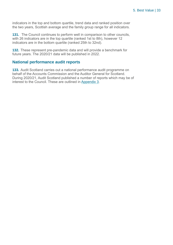indicators in the top and bottom quartile, trend data and ranked position over the two years, Scottish average and the family group range for all indicators.

**131.** The Council continues to perform well in comparison to other councils, with 26 indicators are in the top quartile (ranked 1st to 8th), however 12 indicators are in the bottom quartile (ranked 25th to 32nd).

**132.** These represent pre-pandemic data and will provide a benchmark for future years. The 2020/21 data will be published in 2022.

#### **National performance audit reports**

**133.** Audit Scotland carries out a national performance audit programme on behalf of the Accounts Commission and the Auditor General for Scotland. During 2020/21, Audit Scotland published a number of reports which may be of interest to the Council. These are outlined in [Appendix 3.](#page-44-0)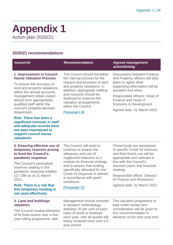### <span id="page-33-0"></span>**Appendix 1** Action plan 2020/21

#### **2020/21 recommendations**

| <b>Issue/risk</b>                                                                                                                                                                                                                                                                                                                                                                                                                                             | <b>Recommendation</b>                                                                                                                                                                                                                                                                                 | <b>Agreed management</b><br>action/timing                                                                                                                                                                                                                                                    |
|---------------------------------------------------------------------------------------------------------------------------------------------------------------------------------------------------------------------------------------------------------------------------------------------------------------------------------------------------------------------------------------------------------------------------------------------------------------|-------------------------------------------------------------------------------------------------------------------------------------------------------------------------------------------------------------------------------------------------------------------------------------------------------|----------------------------------------------------------------------------------------------------------------------------------------------------------------------------------------------------------------------------------------------------------------------------------------------|
| 1. Improvement in Council<br><b>House Valuation Process</b><br>To ensure the accuracy of<br>land and property valuations<br>within the annual accounts,<br>management obtain expert<br>advice from appropriately<br>qualified staff within the<br>council's property services<br>department.<br><b>Risk: There has been a</b><br>significant turnover in staff<br>and adequate records have<br>not been maintained to<br>support council house<br>valuations. | The Council should formalise<br>the internal process for the<br>request and provision of land<br>and property valuations. In<br>addition, appropriate staffing<br>and resource should be<br>deployed to improve the<br>valuation arrangements<br>within the Council.<br>Paragraph 36                  | <b>Discussions between Finance</b><br>and Property officers will take<br>place to agree what<br>supporting information will be<br>provided and when.<br>Responsible officers: Head of<br>Finance and Head of<br>Economy & Development<br>Agreed date: 31 March 2022                          |
| 2. Ensuring effective use of<br>temporary reserves arising<br>to fund the Council's<br>pandemic response<br>The Council's earmarked<br>reserves relating to the<br>pandemic response totalled<br>£17,296 as at 31 March<br>2021.<br><b>Risk: There is a risk that</b><br>this temporary funding is<br>not used effectively.                                                                                                                                   | The Council will need to<br>continue to assess the<br>adequacy and use of<br>ringfenced balances as it<br>reviews its financial strategy;<br>and to ensure that funding<br>specifically allocated for the<br>Covid-19 response is utilised<br>in accordance with grant<br>conditions.<br>Paragraph 52 | These funds are earmarked<br>in specific Covid-19 reserves<br>and their future use will be<br>appropriate and relevant in<br>line with the Council's<br>recovery plans and financial<br>strategy.<br>Responsible officer: Director<br>of Finance and Resources<br>Agreed date: 31 March 2022 |

#### **3. Land and buildings valuation.**

The Council revalue elements of its fixed assets over a fiveyear rolling programme, with

Management should consider a valuation methodology whereby 20 per cent of each class of asset is revalued each year, with all assets still being revalued once over a 5 year period.

The valuation programme is kept under review and consideration will be given to this recommendation in advance of the next year-end.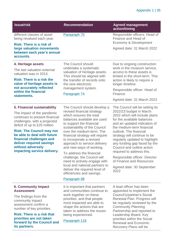| <b>Issue/risk</b>                                                                                                                                                                                                                                                                                                                           | <b>Recommendation</b>                                                                                                                                                                                                                                                                                                                                                                                                                                                                                                                                | <b>Agreed management</b><br>action/timing                                                                                                                                                                                                                                                                                                                                                                                                                                       |
|---------------------------------------------------------------------------------------------------------------------------------------------------------------------------------------------------------------------------------------------------------------------------------------------------------------------------------------------|------------------------------------------------------------------------------------------------------------------------------------------------------------------------------------------------------------------------------------------------------------------------------------------------------------------------------------------------------------------------------------------------------------------------------------------------------------------------------------------------------------------------------------------------------|---------------------------------------------------------------------------------------------------------------------------------------------------------------------------------------------------------------------------------------------------------------------------------------------------------------------------------------------------------------------------------------------------------------------------------------------------------------------------------|
| different classes of asset<br>being revalued each year.<br><b>Risk: There is a risk of</b><br>large valuation movements<br>between each year's annual<br>accounts.                                                                                                                                                                          | Paragraph 70                                                                                                                                                                                                                                                                                                                                                                                                                                                                                                                                         | Responsible officers: Head of<br>Finance and Head of<br>Economy & Development<br>Agreed date: 31 March 2022                                                                                                                                                                                                                                                                                                                                                                     |
| 4. Heritage assets<br>The last valuation external<br>valuation was in 2013.<br><b>Risk: There is a risk the</b><br>value of heritage assets is<br>not accurately reflected<br>within the financial<br>statements.                                                                                                                           | The Council should<br>undertake a systematic<br>valuation of heritage assets.<br>This should be aligned with<br>the transfer of records onto<br>the new electronic<br>management system.<br>Paragraph 74                                                                                                                                                                                                                                                                                                                                             | Due to ongoing construction<br>work in the museum service,<br>access to these assets is<br>limited in the short-term. This<br>action is likely to require a<br>longer timeline.<br>Responsible officer: Head of<br>Finance<br>Agreed date: 31 March 2023                                                                                                                                                                                                                        |
| 5. Financial sustainability<br>The impact of the pandemic<br>continues to present financial<br>challenges, with a projected<br>deficit of up to £25 million.<br><b>Risk: The Council may not</b><br>be able to deal with future<br>financial challenges and<br>deliver required savings<br>without adversely<br>impacting service delivery. | The Council should develop a<br>revised financial strategy<br>which ensures the total<br>balances available are used<br>to support the financial<br>sustainability of the Council<br>over the medium-term. The<br>financial strategy will require<br>to incorporate a revised<br>approach to service delivery<br>and new ways of working.<br>To address the financial<br>challenge, the Council will<br>need to actively engage with<br>local and national partners to<br>deliver the required level of<br>efficiencies and savings.<br>Paragraph 88 | The Council will be setting its<br>2022/23 budget in March<br>2022 which will include plans<br>for the available balances<br>and an updated indication of<br>the medium-term financial<br>outlook. The financial<br>strategy will continue to be<br>regularly updated to highlight<br>any funding gap faced by the<br>Council and outline action<br>required to address this.<br>Responsible officer: Director<br>of Finance and Resources<br>Agreed date: 30 September<br>2022 |
| <b>6. Community Impact</b><br><b>Assessment</b><br>The findings from the<br>community impact<br>assessment confirm a<br>number of key priorities.<br><b>Risk: There is a risk that</b><br>priorities are not taken<br>forward by the Council and<br>its partners.                                                                           | It is important that partners<br>and communities continue to<br>work together on these<br>priorities, and that people<br>most impacted are able to<br>shape the actions that are<br>taken to address the issues<br>being experienced.<br>Paragraph 116                                                                                                                                                                                                                                                                                               | A lead officer has been<br>appointed to implement the<br>Council's/partner's Social<br>Renewal Plan. Progress will<br>be regularly reviewed by the<br><b>Community Planning</b><br>Partnership and reported to<br>Leadership Board. Key<br>priorities within the Social<br><b>Renewal and Economic</b><br>Recovery Plans will be                                                                                                                                                |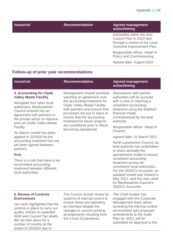| <b>Issue/risk</b> | <b>Recommendation</b> | <b>Agreed management</b><br>action/timing                                                                          |
|-------------------|-----------------------|--------------------------------------------------------------------------------------------------------------------|
|                   |                       | embedded within the next<br>Council Plan in 2022 and<br>through a review of the Local<br>Outcome Improvement Plan. |
|                   |                       | Responsible officer: Head of<br>Policy and Commissioning                                                           |
|                   |                       | Agreed date: August 2022                                                                                           |

### **Follow-up of prior year recommendations**

| <b>Issue/risk</b>                                                                                                                                                                                                                                                                                                                                                                                                                                                                                                            | <b>Recommendation</b>                                                                                                                                                                                                                                                                                                       | <b>Agreed management</b><br>action/timing                                                                                                                                                                                                                                                                                                                                                                                                                                                                                                                                                                                                          |
|------------------------------------------------------------------------------------------------------------------------------------------------------------------------------------------------------------------------------------------------------------------------------------------------------------------------------------------------------------------------------------------------------------------------------------------------------------------------------------------------------------------------------|-----------------------------------------------------------------------------------------------------------------------------------------------------------------------------------------------------------------------------------------------------------------------------------------------------------------------------|----------------------------------------------------------------------------------------------------------------------------------------------------------------------------------------------------------------------------------------------------------------------------------------------------------------------------------------------------------------------------------------------------------------------------------------------------------------------------------------------------------------------------------------------------------------------------------------------------------------------------------------------------|
| 4. Accounting for Clyde<br><b>Valley Waste Facility</b><br>Alongside four other local<br>authorities, Renfrewshire<br>Council entered into an<br>agreement with partners in<br>the private sector to improve<br>and run Clyde Valley Waste<br>Facility.<br>An interim model has been<br>applied in 2019/20 as the<br>accounting treatment has not<br>yet been agreed between<br>partners.<br><b>Risk</b><br>There is a risk that there is an<br>inconsistent accounting<br>treatment between different<br>local authorities. | Management should prioritise<br>reaching an agreement over<br>the accounting treatment for<br><b>Clyde Valley Waste Facility</b><br>with partners and ensure that<br>processes are put in place to<br>ensure that the accounting<br>treatment for future projects<br>are considered prior to these<br>becoming operational. | Discussions with partner<br>authorities will be pursued<br>with a view to reaching a<br>consistent accounting<br>treatment using the finalised<br>financial model<br>commissioned by the lead<br>authority.<br>Responsible officer: Head of<br>Finance<br>Agreed date: 31 March 2021<br>North Lanarkshire Council, as<br>lead authority has undertaken<br>to share annually the<br>spreadsheet model to ensure<br>consistent accounting<br>treatment across all<br>constituent local authorities.<br>For the 2020/21 Accounts, an<br>updated model was shared in<br>May 2021, and this was used<br>for Renfrewshire Council's<br>2020/21 Accounts. |
| <b>5. Review of Controls</b><br><b>Environment</b><br>Our work highlighted that the<br>controls in place to carry out<br>quality checks on awarded<br><b>NDR and Council Tax reliefs</b><br>did not take place for a<br>number of months at the<br>outset of 2019/20 due to                                                                                                                                                                                                                                                  | The Council should review its<br>systems of internal control to<br>ensure these are operating<br>as intended despite the<br>changes to council working<br>arrangements resulting from<br>the Covid-19 pandemic.                                                                                                             | The Chief Auditor has<br>engaged with the Corporate<br>Management team about<br>reviewing the internal control<br>environment and proposed<br>amendments to the Audit<br>Plan for 20/21 will be<br>submitted for approval to the                                                                                                                                                                                                                                                                                                                                                                                                                   |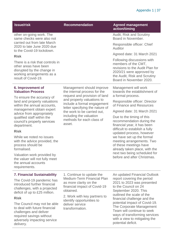| <b>Issue/risk</b>                                                                                                                                 | <b>Recommendation</b>                                                                             | <b>Agreed management</b><br>action/timing                                                                                                                                   |
|---------------------------------------------------------------------------------------------------------------------------------------------------|---------------------------------------------------------------------------------------------------|-----------------------------------------------------------------------------------------------------------------------------------------------------------------------------|
| other on-going work. The<br>same checks were also not<br>carried out from late March                                                              |                                                                                                   | Audit, Risk and Scrutiny<br>Board in November.                                                                                                                              |
| 2020 to late June 2020 due<br>to the Covid-19 lockdown.                                                                                           |                                                                                                   | Responsible officer: Chief<br>Auditor                                                                                                                                       |
| <b>Risk</b>                                                                                                                                       |                                                                                                   | Agreed date: 31 March 2021                                                                                                                                                  |
| There is a risk that controls in<br>other areas have been<br>disrupted by the change in<br>working arrangements as a<br>result of Covid-19.       |                                                                                                   | Following discussions with<br>members of the CMT,<br>revisions to the Audit Plan for<br>2020/21 were approved by<br>the Audit, Risk and Scrutiny<br>Board in November 2020. |
| 6. Improvement of<br><b>Valuation Process</b>                                                                                                     | Management should improve<br>the internal process for the<br>request and provision of land        | Management will work<br>towards the establishment of<br>a formal process.                                                                                                   |
| To ensure the accuracy of<br>land and property valuations<br>within the annual accounts,                                                          | and property valuations to<br>include a formal engagement<br>letter specifying the nature of      | Responsible officer: Director<br>of Finance and Resources                                                                                                                   |
| management obtain expert<br>advice from appropriately                                                                                             | the work to be carried out,                                                                       | Agreed date: 31 March 2021                                                                                                                                                  |
| qualified staff within the<br>council's property services<br>department.                                                                          | including the valuation<br>methods for each class of<br>asset.                                    | Due to the timing of this<br>recommendation during the<br>financial year, it has been                                                                                       |
| <b>Risk</b>                                                                                                                                       |                                                                                                   | difficult to establish a fully<br>updated process, however                                                                                                                  |
| While we noted no issues<br>with the advice provided, the<br>process should be<br>formalised.                                                     |                                                                                                   | we have set up the formal<br>meeting arrangements. Two<br>of these meetings have<br>already taken place, with the                                                           |
| Valuation work provided by<br>the valuer will not fully meet<br>the annual accounts<br>requirements.                                              |                                                                                                   | next two being scheduled for<br>before and after Christmas.                                                                                                                 |
| <b>7. Financial Sustainability</b>                                                                                                                | 1. Continue to update the                                                                         | An updated Financial Outlook                                                                                                                                                |
| The Covid-19 pandemic has<br>introduced further financial<br>challenges, with a projected<br>deficit of up to £25 million.                        | Medium-Term Financial Plan<br>as more clarity on the<br>financial impact of Covid-19<br>obtained. | report covering the period<br>2021 to 2023 was presented<br>to the Council on 24<br>September 2020. This                                                                    |
| <b>Risk</b>                                                                                                                                       | 2. Work with key partners to                                                                      | outlined the scale of the<br>financial challenge and the                                                                                                                    |
| The Council may not be able<br>to deal with future financial<br>challenges and deliver<br>required savings without<br>adversely impacting service | identify opportunities to<br>deliver service<br>transformation.                                   | potential impact of Covid-19.<br>The Corporate Management<br>Team will continue to seek<br>ways of transforming services<br>with a view to mitigating the                   |

adversely impacting service

delivery.

potential deficit.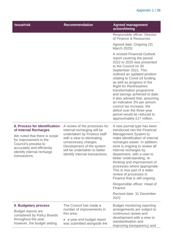| <b>Issue/risk</b>                                                                                                                                                                                                     | <b>Recommendation</b>                                                                                                                                                                                                                             | <b>Agreed management</b><br>action/timing                                                                                                                                                                                                                                                                                                                                                                                                                                                                                   |
|-----------------------------------------------------------------------------------------------------------------------------------------------------------------------------------------------------------------------|---------------------------------------------------------------------------------------------------------------------------------------------------------------------------------------------------------------------------------------------------|-----------------------------------------------------------------------------------------------------------------------------------------------------------------------------------------------------------------------------------------------------------------------------------------------------------------------------------------------------------------------------------------------------------------------------------------------------------------------------------------------------------------------------|
|                                                                                                                                                                                                                       |                                                                                                                                                                                                                                                   | Responsible officer: Director<br>of Finance & Resources                                                                                                                                                                                                                                                                                                                                                                                                                                                                     |
|                                                                                                                                                                                                                       |                                                                                                                                                                                                                                                   | Agreed date: Ongoing (31<br>March 2025)                                                                                                                                                                                                                                                                                                                                                                                                                                                                                     |
|                                                                                                                                                                                                                       |                                                                                                                                                                                                                                                   | A revised Financial Outlook<br>report covering the period<br>2022 to 2025 was presented<br>to the Council on 30<br>September 2021. This<br>outlined an updated position<br>relating to Covid-19 funding<br>as well as progress in the<br><b>Right for Renfrewshire</b><br>transformation programme<br>and savings achieved to date.<br>It also advised that, assuming<br>an indicative 3% per annum<br>council tax increase, the<br>deficit over the three-year<br>period would be reduced to<br>approximately £17 million. |
| 8. Process for Identification<br>of Internal Recharges<br>We noted that there is scope<br>for improvement in the<br>Council's process to<br>accurately and efficiently<br>identify internal recharge<br>transactions. | A review of the processes for<br>internal recharging will be<br>undertaken by Finance staff<br>with a view to eliminating<br>unnecessary charges.<br>Development of the system<br>will be undertaken to better<br>identify internal transactions. | A new journal type has been<br>introduced into the Financial<br>Management System to<br>make identification of internal<br>recharges easier. In addition,<br>work is ongoing to review all<br>internal recharges by<br>department, with a view to<br>better understanding, re-<br>thinking and improvement of<br>processes where appropriate.<br>This is now part of a wider<br>review of processes in<br>Finance that is still ongoing.<br>Responsible officer: Head of<br>Finance<br>Revised date: 31 December<br>2022    |
| 9. Budgetary process                                                                                                                                                                                                  | The Council has made a                                                                                                                                                                                                                            | <b>Budget monitoring reporting</b>                                                                                                                                                                                                                                                                                                                                                                                                                                                                                          |
| Budget reports are<br>considered by Policy Boards<br>throughout the year;<br>however, the budget setting                                                                                                              | number of improvements in<br>this area:                                                                                                                                                                                                           | arrangements are subject to<br>continuous review and                                                                                                                                                                                                                                                                                                                                                                                                                                                                        |
|                                                                                                                                                                                                                       | a year-end budget report<br>was submitted alongside the                                                                                                                                                                                           | development with a view to<br>standardisation and<br>improving transparency and                                                                                                                                                                                                                                                                                                                                                                                                                                             |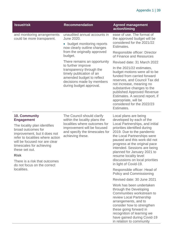| <b>Issue/risk</b>                                                                                                                                                                                                                                                                                                          | <b>Recommendation</b>                                                                                                                                                                           | <b>Agreed management</b><br>action/timing                                                                                                                                                                                                                                                                                                                                                             |
|----------------------------------------------------------------------------------------------------------------------------------------------------------------------------------------------------------------------------------------------------------------------------------------------------------------------------|-------------------------------------------------------------------------------------------------------------------------------------------------------------------------------------------------|-------------------------------------------------------------------------------------------------------------------------------------------------------------------------------------------------------------------------------------------------------------------------------------------------------------------------------------------------------------------------------------------------------|
| and monitoring arrangements<br>could be more transparent.                                                                                                                                                                                                                                                                  | unaudited annual accounts in<br>June 2020.<br>budget monitoring reports<br>$\bullet$<br>now clearly outline changes<br>from the originally approved<br>budget.                                  | ease of use. The format of<br>the approved budget will be<br>considered for the 2021/22<br>Estimates.                                                                                                                                                                                                                                                                                                 |
|                                                                                                                                                                                                                                                                                                                            |                                                                                                                                                                                                 | Responsible officer: Director<br>of Finance and Resources                                                                                                                                                                                                                                                                                                                                             |
|                                                                                                                                                                                                                                                                                                                            | There remains an opportunity<br>to further improve<br>transparency through the<br>timely publication of an<br>amended budget to reflect<br>decisions made by members<br>during budget approval. | Revised date: 31 March 2022                                                                                                                                                                                                                                                                                                                                                                           |
|                                                                                                                                                                                                                                                                                                                            |                                                                                                                                                                                                 | In the 2021/22 estimates,<br>budget motions were all to be<br>funded from carried forward<br>reserves, and Council Tax did<br>not increase, meaning no<br>substantive changes to the<br>published Approved Revenue<br>Estimates. A second report, if<br>appropriate, will be<br>considered for the 2022/23<br>Estimates.                                                                              |
| 10. Community<br><b>Engagement</b><br>The locality plan identifies<br>broad outcomes for<br>improvement, but it does not<br>refer to localities where action<br>will be focused nor are clear<br>timescales for achieving<br>these set out.<br><b>Risk</b><br>There is a risk that outcomes<br>do not focus on the correct | The Council should clarify<br>within the locality plans the<br>localities where outcomes for<br>improvement will be focused<br>and specify the timescales for<br>achieving these.               | Local plans are being<br>developed by each of the<br>Local Partnerships, and initial<br>priorities identified during<br>2019. Due to the pandemic<br>the Local Partnerships were<br>paused and this work did not<br>progress at the original pace<br>intended. Sessions are being<br>planned for January 2021 to<br>resume locality level<br>discussions on local priorities<br>in light of Covid-19. |
| localities.                                                                                                                                                                                                                                                                                                                |                                                                                                                                                                                                 | Responsible officer: Head of<br><b>Policy and Commissioning</b>                                                                                                                                                                                                                                                                                                                                       |
|                                                                                                                                                                                                                                                                                                                            |                                                                                                                                                                                                 | Revised date: 30 June 2021                                                                                                                                                                                                                                                                                                                                                                            |
|                                                                                                                                                                                                                                                                                                                            |                                                                                                                                                                                                 | Work has been undertaken<br>through the Developing<br>Communities workstream to<br>review Local Partnership<br>arrangements, and to<br>consider how to strengthen<br>these going forward in<br>recognition of learning we<br>have gained during Covid-19<br>in relation to community                                                                                                                  |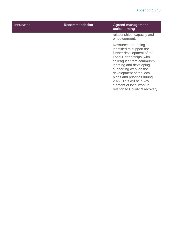| <b>Issue/risk</b> | <b>Recommendation</b> | <b>Agreed management</b><br>action/timing                                                                                                                                                                                                                                                                                                         |
|-------------------|-----------------------|---------------------------------------------------------------------------------------------------------------------------------------------------------------------------------------------------------------------------------------------------------------------------------------------------------------------------------------------------|
|                   |                       | relationships, capacity and<br>empowerment.                                                                                                                                                                                                                                                                                                       |
|                   |                       | Resources are being<br>identified to support the<br>further development of the<br>Local Partnerships, with<br>colleagues from community<br>learning and developing<br>supporting work on the<br>development of the local<br>plans and priorities during<br>2022. This will be a key<br>element of local work in<br>relation to Covid-19 recovery. |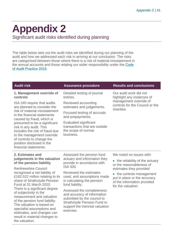## <span id="page-40-0"></span>**Appendix 2**

Significant audit risks identified during planning

The table below sets out the audit risks we identified during our planning of the audit and how we addressed each risk in arriving at our conclusion. The risks are categorised between those where there is a risk of material misstatement in the annual accounts and those relating our wider responsibility under the [Code](http://www.audit-scotland.gov.uk/report/code-of-audit-practice-2016)  [of Audit Practice 2016.](http://www.audit-scotland.gov.uk/report/code-of-audit-practice-2016)

| <b>Audit risk</b>                                                                                                                                                                                                                                                                                                                                                                                                                                                                                               | <b>Assurance procedure</b>                                                                                                                                                    | <b>Results and conclusions</b>                                                                                                            |
|-----------------------------------------------------------------------------------------------------------------------------------------------------------------------------------------------------------------------------------------------------------------------------------------------------------------------------------------------------------------------------------------------------------------------------------------------------------------------------------------------------------------|-------------------------------------------------------------------------------------------------------------------------------------------------------------------------------|-------------------------------------------------------------------------------------------------------------------------------------------|
| 1. Management override of<br>controls                                                                                                                                                                                                                                                                                                                                                                                                                                                                           | Detailed testing of journal<br>entries.                                                                                                                                       | Our audit work did not<br>highlight any instances of<br>management override of<br>controls for the Council or the<br>charities.           |
| ISA 240 require that audits<br>are planned to consider the<br>risk of material misstatement<br>in the financial statements<br>caused by fraud, which is<br>presumed to be a significant<br>risk in any audit. This<br>includes the risk of fraud due<br>to the management override<br>of controls to change the<br>position disclosed in the<br>financial statements.                                                                                                                                           | Reviewed accounting<br>estimates and judgements.                                                                                                                              |                                                                                                                                           |
|                                                                                                                                                                                                                                                                                                                                                                                                                                                                                                                 | Focused testing of accruals<br>and prepayments.                                                                                                                               |                                                                                                                                           |
|                                                                                                                                                                                                                                                                                                                                                                                                                                                                                                                 | Evaluated significant<br>transactions that are outside<br>the scope of normal<br>business.                                                                                    |                                                                                                                                           |
| 2. Estimates and<br>judgements in the valuation<br>of the pension liability<br><b>Renfrewshire Council</b><br>recognised a net liability of<br>£162.522 million relating to its<br>share of Strathclyde Pension<br>Fund at 31 March 2020.<br>There is a significant degree<br>of subjectivity in the<br>measurement and valuation<br>of the pension fund liability.<br>The valuation is based on<br>specialist assumptions and<br>estimates, and changes can<br>result in material changes to<br>the valuation. | Assessed the pension fund<br>actuary and information they<br>provide in accordance with<br><b>ISA 500.</b>                                                                    | We noted no issues with:                                                                                                                  |
|                                                                                                                                                                                                                                                                                                                                                                                                                                                                                                                 |                                                                                                                                                                               | • the reliability of the actuary<br>or the reasonableness of                                                                              |
|                                                                                                                                                                                                                                                                                                                                                                                                                                                                                                                 | Reviewed the estimates<br>used, and assumptions made<br>in calculating the pension<br>fund liability.                                                                         | estimates they provided<br>• the controls management<br>put in place or the accuracy<br>of the information provided<br>for the valuation. |
|                                                                                                                                                                                                                                                                                                                                                                                                                                                                                                                 | Assessed the completeness<br>and accuracy of information<br>submitted by the council to<br><b>Strathclyde Pension Fund to</b><br>support the triennial valuation<br>exercise. |                                                                                                                                           |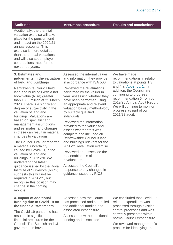**Audit risk Assurance procedure Results and conclusions**

Additionally, the triennial valuation exercise will take place for the pension fund and impact on the 2020/21 annual accounts. This exercise is more detailed than the annual valuations and will also set employer contributions rates for the next three years.

#### **3. Estimates and judgements in the valuation of land and buildings**

Renfrewshire Council held land and buildings with a net book value (NBV) greater than £850 million at 31 March 2020. There is a significant degree of subjectivity in the valuation of land and buildings. Valuations are based on specialist and management assumptions and estimates, and changes in these can result in material changes to valuations.

The Council's valuer reported a material uncertainty, caused by Covid-19, in the valuation of land and buildings in 2019/20. We understand the latest guidance issued by the Royal Institute of Surveyors (RICS) suggests this will not be required in 2020/21, but recognise this position may change in the coming months.

Assessed the internal valuer and information they provide in accordance with ISA 500.

Reviewed the revaluations performed by the valuer in year, assessing whether they have been performed using an appropriate and relevant valuation basis / methodology by suitably qualified individuals.

Reviewed the information provided to the valuer and assess whether this was complete and included all Renfrewshire Council's land and buildings relevant for the 2020/21 revaluation exercise.

Reviewed and assessed the reasonableness of revaluations.

Assessed the Council's response to any changes in guidance issued by RICS.

We have made recommendations in relation to valuations at points 1,3 and 4 at [Appendix 1.](#page-33-0) In addition, the Council are continuing to progress recommendation 6 from our 2019/20 Annual Audit Report. We will continue to monitor progress as part of our 2021/22 audit.

#### **4. Impact of additional funding due to Covid-19 on the financial statements**

The Covid-19 pandemic has resulted in significant financial pressures for the Council. The Scottish and UK governments have

Assessed how the Council has processed and controlled the additional funding and associated expenditure.

Assessed how the additional funding and associated

We concluded that Covid-19 related expenditure was processed through existing control processes and was correctly presented within normal Council expenditure.

We reviewed management's process for identifying and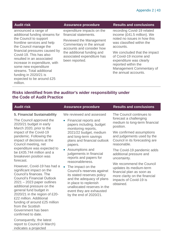announced a range of additional funding streams for the Council to support frontline services and help the Council manage the financial pressures caused by Covid-19. This has also resulted in an associated increase in expenditure, with some new expenditure streams. Total additional funding in 2020/21 is expected to be around £25 million.

expenditure impacts on the financial statements.

Reviewed the Management Commentary in the annual accounts and consider how the additional funding and associated expenditure has been reported.

#### **Audit risk Assurance procedure Results and conclusions**

recording Covid-19 related income (£41.5 million). We noted no issues in how this was classified within the accounts.

We concluded that the impact of Covid-19 income and expenditure was clearly reported within the Management Commentary of the annual accounts.

#### **Risks identified from the auditor's wider responsibility under the Code of Audit Practice**

| <b>Audit risk</b>                                                                                                                                                                                                                                                                                                                                                                | <b>Assurance procedure</b>                                                                                                                                                                                                                                                                                  | <b>Results and conclusions</b>                                                                                                                                                                                                                                                       |
|----------------------------------------------------------------------------------------------------------------------------------------------------------------------------------------------------------------------------------------------------------------------------------------------------------------------------------------------------------------------------------|-------------------------------------------------------------------------------------------------------------------------------------------------------------------------------------------------------------------------------------------------------------------------------------------------------------|--------------------------------------------------------------------------------------------------------------------------------------------------------------------------------------------------------------------------------------------------------------------------------------|
| <b>5. Financial Sustainability</b><br>The Council approved the<br>2020/21 budget in early<br>March 2020, prior to the<br>impact of the Covid-19<br>pandemic. Following the<br>impact of decisions at the<br>Council meeting, net<br>expenditure was expected to<br>be £435,744 million and a<br>breakeven position was<br>forecast.                                              | We reviewed and assessed<br>Financial reports and<br>$\bullet$<br>papers including, budget<br>monitoring reports,<br>2021/22 budget, medium<br>and long-term savings<br>plans and financial outlook<br>papers.<br>• Assumptions and<br>judgements in financial<br>reports and papers for<br>reasonableness. | The Council continues to<br>forecast a challenging<br>medium to long-term financial<br>position.<br>We confirmed assumptions<br>and judgements used by the<br>Council in its forecasting are<br>reasonable.<br>The Covid-19 pandemic adds<br>additional pressure and<br>uncertainty. |
| However, Covid-19 has had a<br>significant impact on the<br>Council's finances. The<br><b>Council's Financial Outlook</b><br>$2021 - 2023$ paper outlines<br>additional pressure on the<br>general fund budget in<br>2020/21 in the region of £20-<br>£22 million. Additional<br>funding of around £25 million<br>from the Scottish<br>Government has been<br>confirmed to date. | $\bullet$<br>The impact on the<br>Council's reserves against<br>its stated reserves policy<br>and the adequacy of plans<br>in place to replenish<br>unallocated reserves in the<br>event they are exhausted<br>by the end of 2020/21.                                                                       | We recommend the Council<br>updates its medium-term<br>financial plan as soon as<br>more clarity on the financial<br>impacts of Covid-19 is<br>obtained.                                                                                                                             |

Consequently, the latest report to Council (4 March) indicates a projected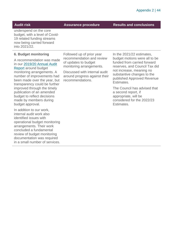**Audit risk Assurance procedure Results and conclusions**

underspend on the core budget, with a level of Covid-19 related funding streams now being carried forward into 2021/22.

#### **6. Budget monitoring**

A recommendation was made in our [2019/20 Annual Audit](https://www.audit-scotland.gov.uk/uploads/docs/report/2020/aar_1920_renfrewshire.pdf)  [Report](https://www.audit-scotland.gov.uk/uploads/docs/report/2020/aar_1920_renfrewshire.pdf) around budget monitoring arrangements. A number of improvements had been made over the year, but transparency could be further improved through the timely publication of an amended budget to reflect decisions made by members during budget approval.

In addition to our work, internal audit work also identified issues with operational budget monitoring arrangements. Their work concluded a fundamental review of budget monitoring documentation was required in a small number of services.

Followed up of prior year recommendation and review of updates to budget monitoring arrangements.

Discussed with internal audit around progress against their recommendations.

In the 2021/22 estimates, budget motions were all to be funded from carried forward reserves, and Council Tax did not increase, meaning no substantive changes to the published Approved Revenue **Estimates** 

The Council has advised that a second report, if appropriate, will be considered for the 2022/23 **Estimates**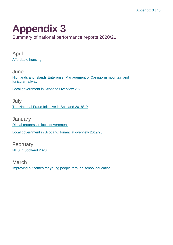### <span id="page-44-0"></span>**Appendix 3**

Summary of national performance reports 2020/21

April [Affordable housing](https://www.audit-scotland.gov.uk/report/affordable-housing)

**June** [Highlands and Islands Enterprise: Management of Cairngorm mountain and](https://www.audit-scotland.gov.uk/report/highlands-and-islands-enterprise-management-of-cairngorm-mountain-and-funicular-railway)  [funicular railway](https://www.audit-scotland.gov.uk/report/highlands-and-islands-enterprise-management-of-cairngorm-mountain-and-funicular-railway)

[Local government in Scotland Overview 2020](https://www.audit-scotland.gov.uk/report/local-government-in-scotland-overview-2020)

July [The National Fraud Initiative in Scotland 2018/19](https://www.audit-scotland.gov.uk/report/the-national-fraud-initiative-in-scotland-201819)

**January** [Digital progress in local government](https://www.audit-scotland.gov.uk/report/digital-progress-in-local-government) [Local government in Scotland: Financial overview 2019/20](https://www.audit-scotland.gov.uk/report/local-government-in-scotland-financial-overview-201920)

February [NHS in Scotland 2020](https://www.audit-scotland.gov.uk/report/nhs-in-scotland-2020)

March [Improving outcomes for young people through school education](https://www.audit-scotland.gov.uk/report/improving-outcomes-for-young-people-through-school-education)